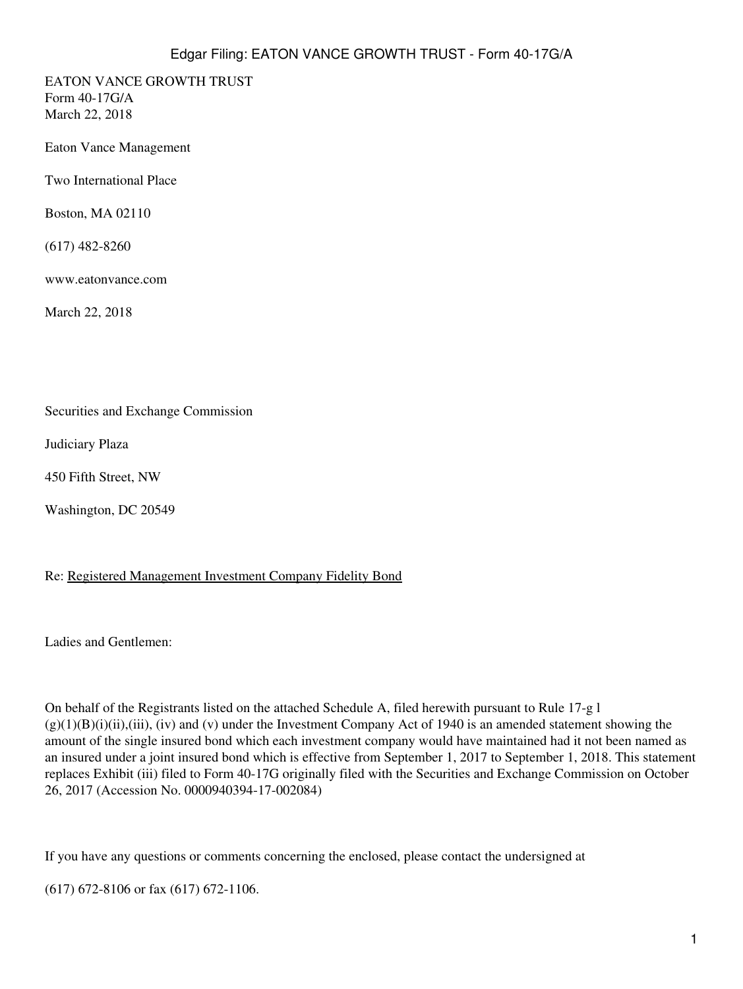EATON VANCE GROWTH TRUST Form 40-17G/A March 22, 2018

Eaton Vance Management

Two International Place

Boston, MA 02110

(617) 482-8260

www.eatonvance.com

March 22, 2018

Securities and Exchange Commission

Judiciary Plaza

450 Fifth Street, NW

Washington, DC 20549

### Re: Registered Management Investment Company Fidelity Bond

Ladies and Gentlemen:

On behalf of the Registrants listed on the attached Schedule A, filed herewith pursuant to Rule 17-g l  $(g)(1)(B)(i)(ii),(iii), (iv)$  and (v) under the Investment Company Act of 1940 is an amended statement showing the amount of the single insured bond which each investment company would have maintained had it not been named as an insured under a joint insured bond which is effective from September 1, 2017 to September 1, 2018. This statement replaces Exhibit (iii) filed to Form 40-17G originally filed with the Securities and Exchange Commission on October 26, 2017 (Accession No. 0000940394-17-002084)

If you have any questions or comments concerning the enclosed, please contact the undersigned at

(617) 672-8106 or fax (617) 672-1106.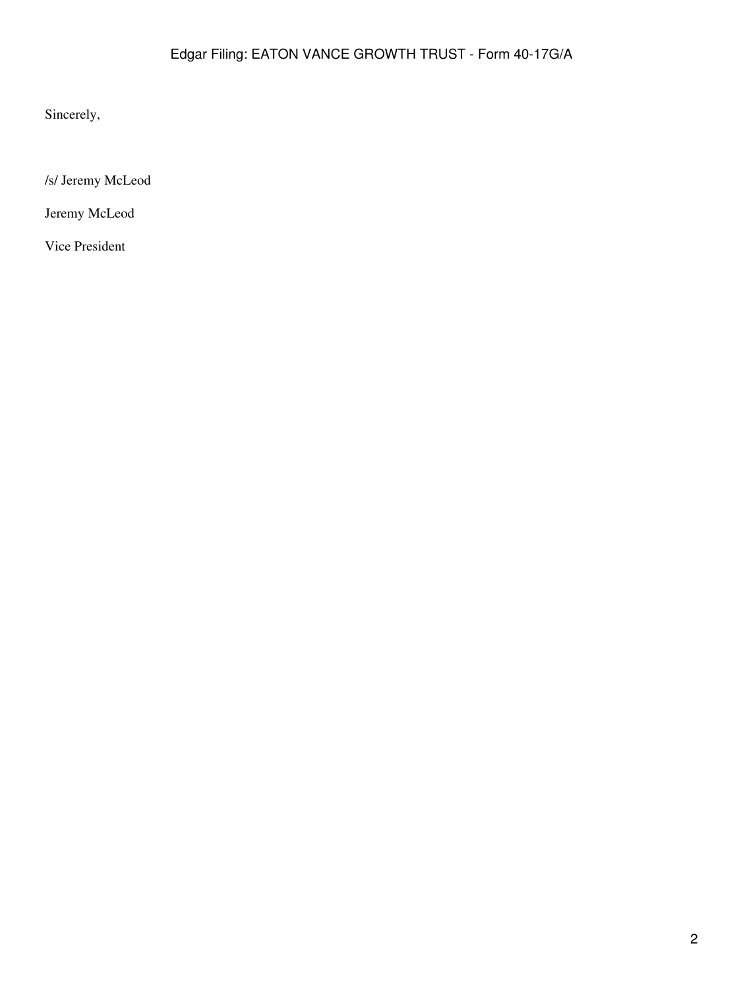Sincerely,

/s/ Jeremy McLeod

Jeremy McLeod

Vice President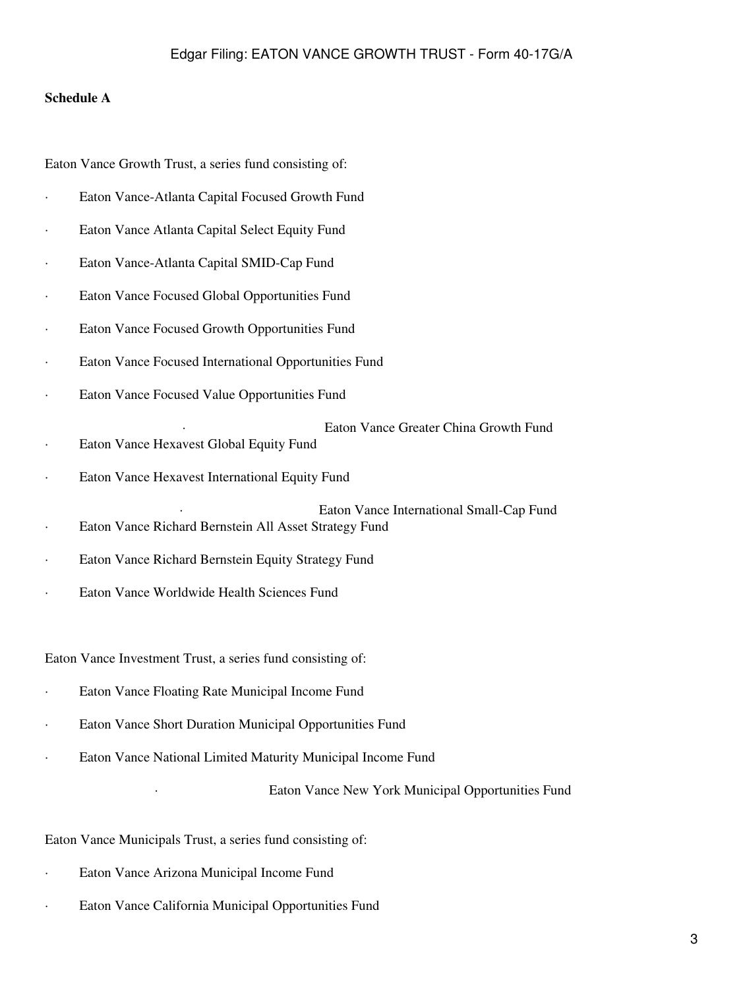### **Schedule A**

Eaton Vance Growth Trust, a series fund consisting of:

- · Eaton Vance-Atlanta Capital Focused Growth Fund
- Eaton Vance Atlanta Capital Select Equity Fund
- Eaton Vance-Atlanta Capital SMID-Cap Fund
- Eaton Vance Focused Global Opportunities Fund
- Eaton Vance Focused Growth Opportunities Fund
- · Eaton Vance Focused International Opportunities Fund
- Eaton Vance Focused Value Opportunities Fund
- Eaton Vance Greater China Growth Fund · Eaton Vance Hexavest Global Equity Fund
- Eaton Vance Hexavest International Equity Fund
- Eaton Vance International Small-Cap Fund · Eaton Vance Richard Bernstein All Asset Strategy Fund
- · Eaton Vance Richard Bernstein Equity Strategy Fund
- Eaton Vance Worldwide Health Sciences Fund

### Eaton Vance Investment Trust, a series fund consisting of:

- · Eaton Vance Floating Rate Municipal Income Fund
- · Eaton Vance Short Duration Municipal Opportunities Fund
- Eaton Vance National Limited Maturity Municipal Income Fund

Eaton Vance New York Municipal Opportunities Fund

### Eaton Vance Municipals Trust, a series fund consisting of:

- Eaton Vance Arizona Municipal Income Fund
- · Eaton Vance California Municipal Opportunities Fund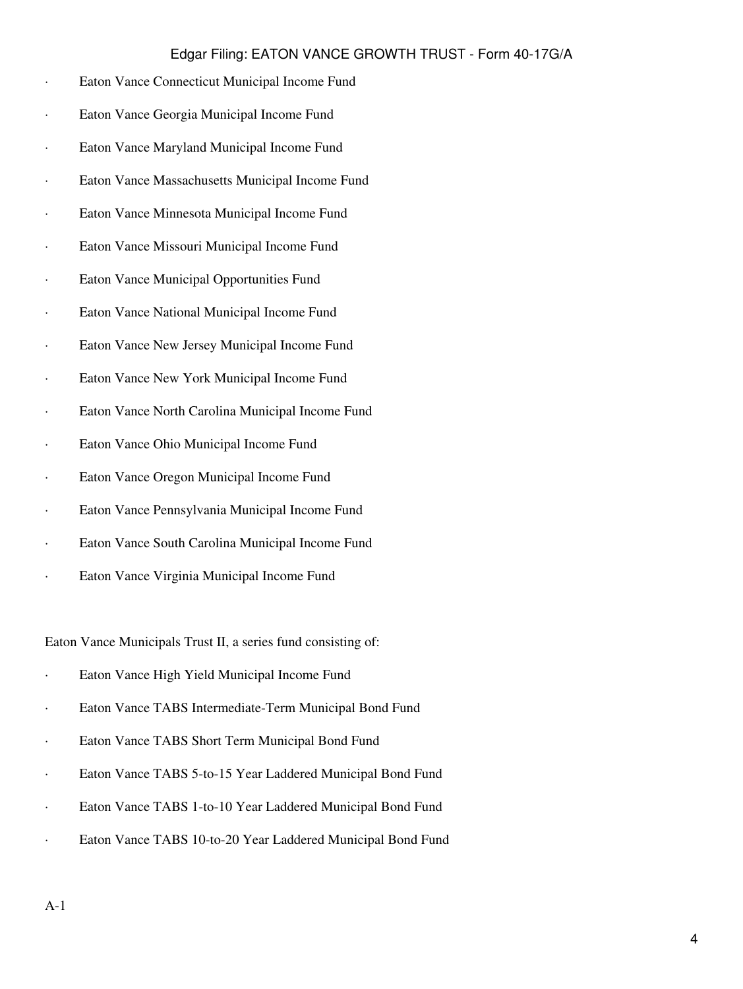| Eaton Vance Connecticut Municipal Income Fund    |
|--------------------------------------------------|
| Eaton Vance Georgia Municipal Income Fund        |
| Eaton Vance Maryland Municipal Income Fund       |
| Eaton Vance Massachusetts Municipal Income Fund  |
| Eaton Vance Minnesota Municipal Income Fund      |
| Eaton Vance Missouri Municipal Income Fund       |
| Eaton Vance Municipal Opportunities Fund         |
| Eaton Vance National Municipal Income Fund       |
| Eaton Vance New Jersey Municipal Income Fund     |
| Eaton Vance New York Municipal Income Fund       |
| Eaton Vance North Carolina Municipal Income Fund |
| Eaton Vance Ohio Municipal Income Fund           |
| Eaton Vance Oregon Municipal Income Fund         |
| Eaton Vance Pennsylvania Municipal Income Fund   |
| Eaton Vance South Carolina Municipal Income Fund |
| Eaton Vance Virginia Municipal Income Fund       |
|                                                  |

Eaton Vance Municipals Trust II, a series fund consisting of:

- · Eaton Vance High Yield Municipal Income Fund
- · Eaton Vance TABS Intermediate-Term Municipal Bond Fund
- · Eaton Vance TABS Short Term Municipal Bond Fund
- · Eaton Vance TABS 5-to-15 Year Laddered Municipal Bond Fund
- · Eaton Vance TABS 1-to-10 Year Laddered Municipal Bond Fund
- · Eaton Vance TABS 10-to-20 Year Laddered Municipal Bond Fund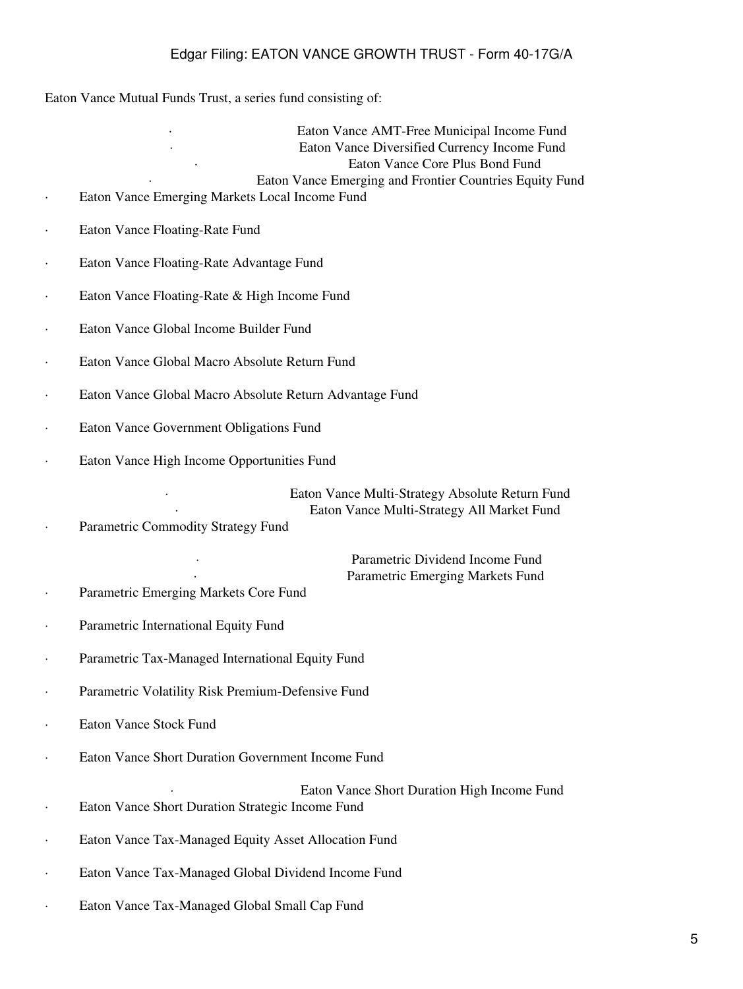Eaton Vance Mutual Funds Trust, a series fund consisting of:

Eaton Vance AMT-Free Municipal Income Fund Eaton Vance Diversified Currency Income Fund Eaton Vance Core Plus Bond Fund Eaton Vance Emerging and Frontier Countries Equity Fund

- Eaton Vance Emerging Markets Local Income Fund
- · Eaton Vance Floating-Rate Fund
- Eaton Vance Floating-Rate Advantage Fund
- Eaton Vance Floating-Rate & High Income Fund
- Eaton Vance Global Income Builder Fund
- · Eaton Vance Global Macro Absolute Return Fund
- Eaton Vance Global Macro Absolute Return Advantage Fund
- Eaton Vance Government Obligations Fund
- Eaton Vance High Income Opportunities Fund

Eaton Vance Multi-Strategy Absolute Return Fund Eaton Vance Multi-Strategy All Market Fund

· Parametric Commodity Strategy Fund

Parametric Dividend Income Fund Parametric Emerging Markets Fund

- Parametric Emerging Markets Core Fund
- Parametric International Equity Fund
- Parametric Tax-Managed International Equity Fund
- · Parametric Volatility Risk Premium-Defensive Fund
- Eaton Vance Stock Fund
- Eaton Vance Short Duration Government Income Fund
- Eaton Vance Short Duration High Income Fund · Eaton Vance Short Duration Strategic Income Fund
- Eaton Vance Tax-Managed Equity Asset Allocation Fund
- · Eaton Vance Tax-Managed Global Dividend Income Fund
- · Eaton Vance Tax-Managed Global Small Cap Fund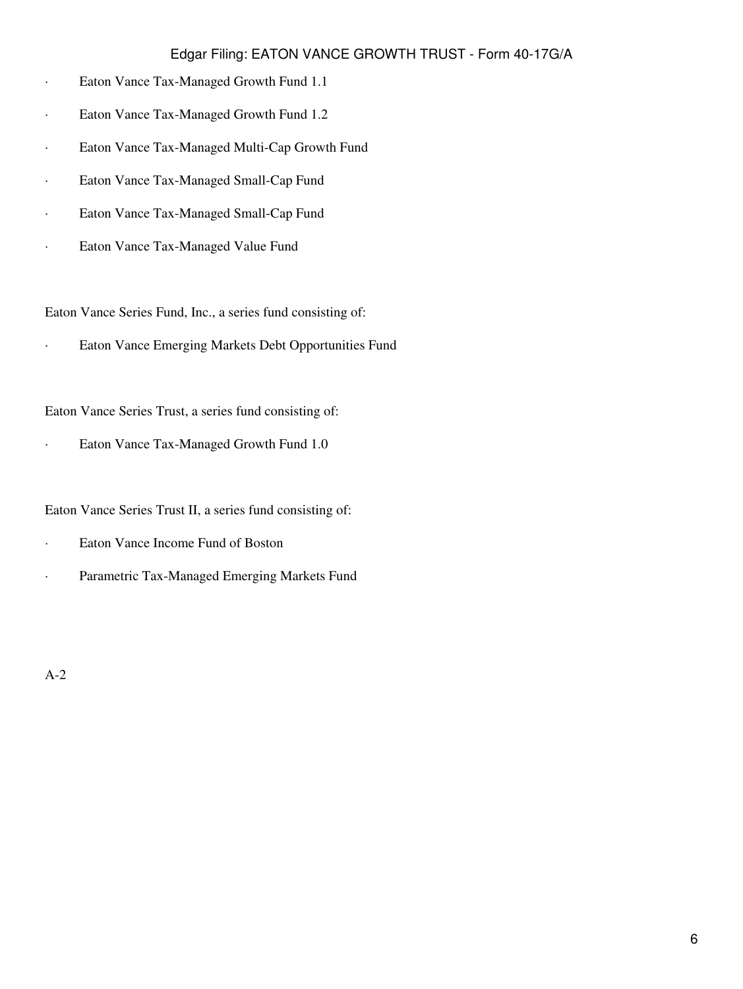- · Eaton Vance Tax-Managed Growth Fund 1.1
- · Eaton Vance Tax-Managed Growth Fund 1.2
- · Eaton Vance Tax-Managed Multi-Cap Growth Fund
- · Eaton Vance Tax-Managed Small-Cap Fund
- · Eaton Vance Tax-Managed Small-Cap Fund
- · Eaton Vance Tax-Managed Value Fund

Eaton Vance Series Fund, Inc., a series fund consisting of:

· Eaton Vance Emerging Markets Debt Opportunities Fund

Eaton Vance Series Trust, a series fund consisting of:

· Eaton Vance Tax-Managed Growth Fund 1.0

Eaton Vance Series Trust II, a series fund consisting of:

- · Eaton Vance Income Fund of Boston
- · Parametric Tax-Managed Emerging Markets Fund

A-2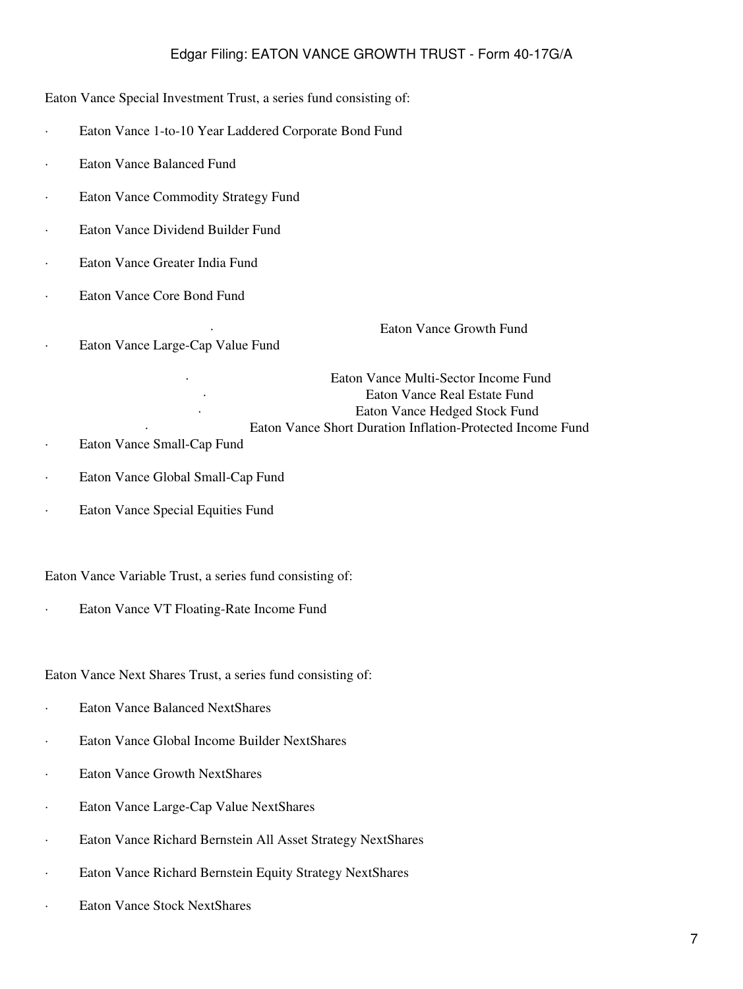Eaton Vance Special Investment Trust, a series fund consisting of:

- · Eaton Vance 1-to-10 Year Laddered Corporate Bond Fund
- Eaton Vance Balanced Fund
- · Eaton Vance Commodity Strategy Fund
- · Eaton Vance Dividend Builder Fund
- Eaton Vance Greater India Fund
- Eaton Vance Core Bond Fund
- · Eaton Vance Large-Cap Value Fund

Eaton Vance Growth Fund

Eaton Vance Multi-Sector Income Fund Eaton Vance Real Estate Fund Eaton Vance Hedged Stock Fund Eaton Vance Short Duration Inflation-Protected Income Fund

- · Eaton Vance Small-Cap Fund
- · Eaton Vance Global Small-Cap Fund
- · Eaton Vance Special Equities Fund

### Eaton Vance Variable Trust, a series fund consisting of:

Eaton Vance VT Floating-Rate Income Fund

Eaton Vance Next Shares Trust, a series fund consisting of:

- · Eaton Vance Balanced NextShares
- · Eaton Vance Global Income Builder NextShares
- · Eaton Vance Growth NextShares
- · Eaton Vance Large-Cap Value NextShares
- Eaton Vance Richard Bernstein All Asset Strategy NextShares
- · Eaton Vance Richard Bernstein Equity Strategy NextShares
- · Eaton Vance Stock NextShares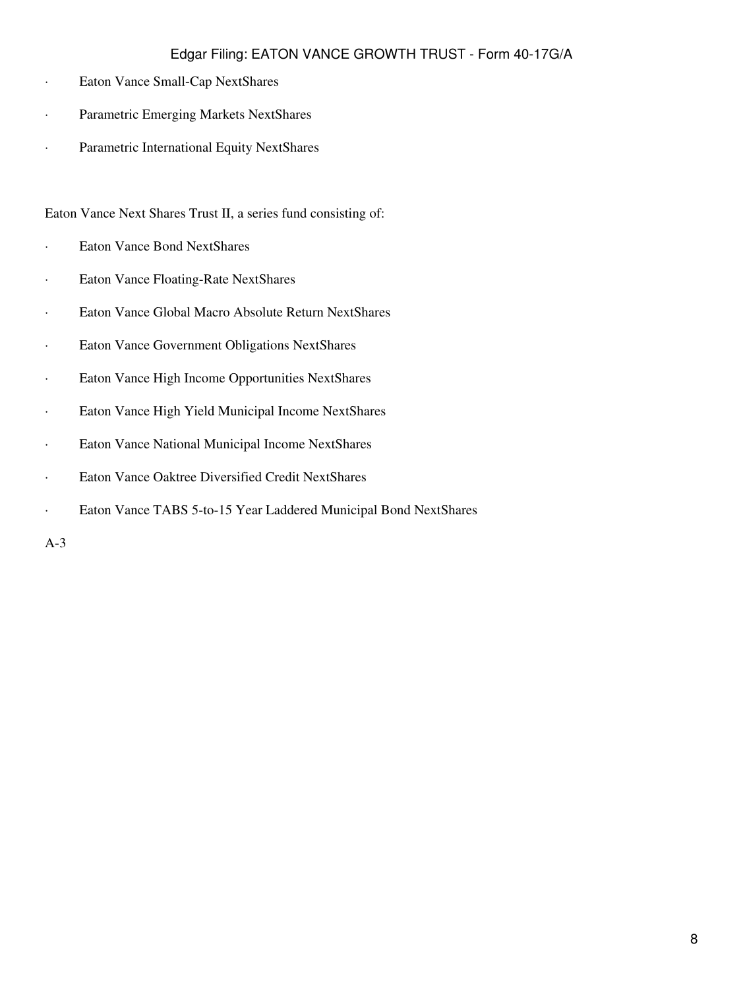- · Eaton Vance Small-Cap NextShares
- · Parametric Emerging Markets NextShares
- · Parametric International Equity NextShares

### Eaton Vance Next Shares Trust II, a series fund consisting of:

- · Eaton Vance Bond NextShares
- · Eaton Vance Floating-Rate NextShares
- · Eaton Vance Global Macro Absolute Return NextShares
- · Eaton Vance Government Obligations NextShares
- · Eaton Vance High Income Opportunities NextShares
- · Eaton Vance High Yield Municipal Income NextShares
- · Eaton Vance National Municipal Income NextShares
- · Eaton Vance Oaktree Diversified Credit NextShares
- · Eaton Vance TABS 5-to-15 Year Laddered Municipal Bond NextShares

A-3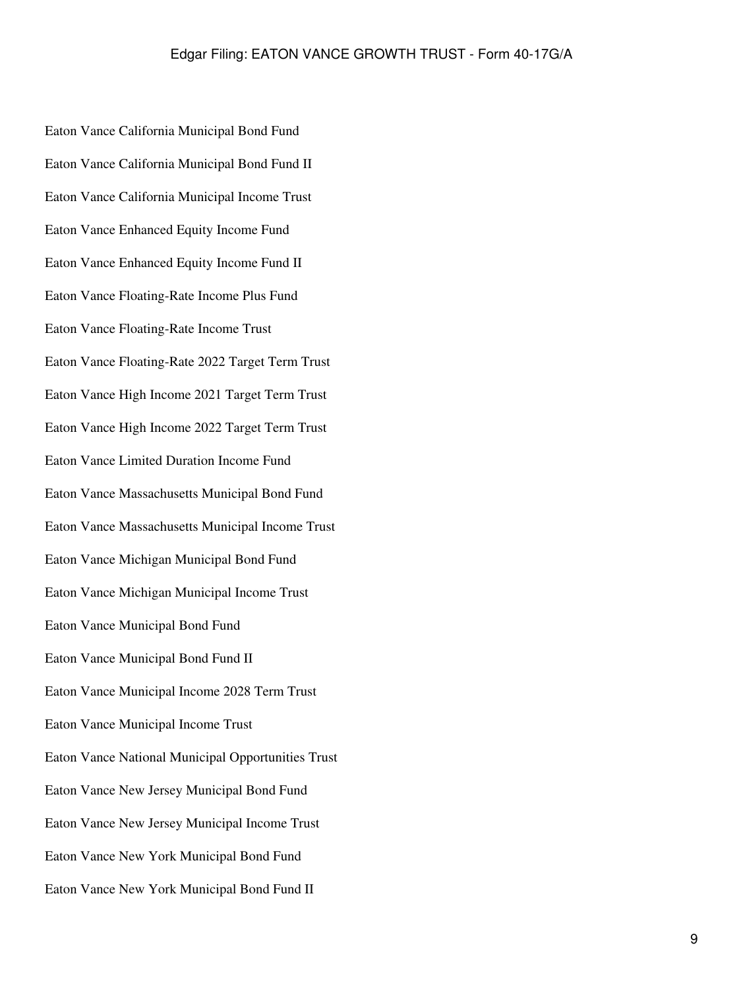Eaton Vance California Municipal Bond Fund Eaton Vance California Municipal Bond Fund II Eaton Vance California Municipal Income Trust Eaton Vance Enhanced Equity Income Fund Eaton Vance Enhanced Equity Income Fund II Eaton Vance Floating-Rate Income Plus Fund Eaton Vance Floating-Rate Income Trust Eaton Vance Floating-Rate 2022 Target Term Trust Eaton Vance High Income 2021 Target Term Trust Eaton Vance High Income 2022 Target Term Trust Eaton Vance Limited Duration Income Fund Eaton Vance Massachusetts Municipal Bond Fund Eaton Vance Massachusetts Municipal Income Trust Eaton Vance Michigan Municipal Bond Fund Eaton Vance Michigan Municipal Income Trust Eaton Vance Municipal Bond Fund Eaton Vance Municipal Bond Fund II Eaton Vance Municipal Income 2028 Term Trust Eaton Vance Municipal Income Trust Eaton Vance National Municipal Opportunities Trust Eaton Vance New Jersey Municipal Bond Fund Eaton Vance New Jersey Municipal Income Trust Eaton Vance New York Municipal Bond Fund Eaton Vance New York Municipal Bond Fund II